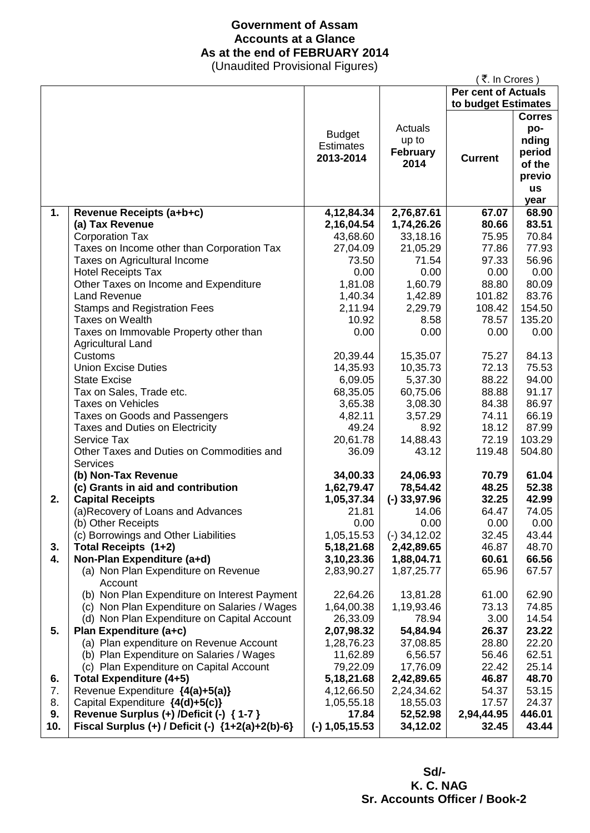## **Government of Assam Accounts at a Glance As at the end of FEBRUARY 2014**

(Unaudited Provisional Figures)

|     |                                                  |                  |                 | ₹. In Crores)              |               |
|-----|--------------------------------------------------|------------------|-----------------|----------------------------|---------------|
|     |                                                  |                  |                 | <b>Per cent of Actuals</b> |               |
|     |                                                  |                  |                 | to budget Estimates        |               |
|     |                                                  |                  |                 |                            | <b>Corres</b> |
|     |                                                  |                  | Actuals         |                            | po-           |
|     |                                                  | <b>Budget</b>    | up to           |                            | nding         |
|     |                                                  | <b>Estimates</b> | <b>February</b> |                            | period        |
|     |                                                  | 2013-2014        | 2014            | <b>Current</b>             | of the        |
|     |                                                  |                  |                 |                            | previo        |
|     |                                                  |                  |                 |                            | <b>us</b>     |
|     |                                                  |                  |                 |                            | year          |
| 1.  |                                                  | 4, 12, 84. 34    | 2,76,87.61      | 67.07                      | 68.90         |
|     | Revenue Receipts (a+b+c)                         |                  |                 | 80.66                      | 83.51         |
|     | (a) Tax Revenue                                  | 2,16,04.54       | 1,74,26.26      |                            |               |
|     | <b>Corporation Tax</b>                           | 43,68.60         | 33,18.16        | 75.95                      | 70.84         |
|     | Taxes on Income other than Corporation Tax       | 27,04.09         | 21,05.29        | 77.86                      | 77.93         |
|     | Taxes on Agricultural Income                     | 73.50            | 71.54           | 97.33                      | 56.96         |
|     | <b>Hotel Receipts Tax</b>                        | 0.00             | 0.00            | 0.00                       | 0.00          |
|     | Other Taxes on Income and Expenditure            | 1,81.08          | 1,60.79         | 88.80                      | 80.09         |
|     | Land Revenue                                     | 1,40.34          | 1,42.89         | 101.82                     | 83.76         |
|     | <b>Stamps and Registration Fees</b>              | 2,11.94          | 2,29.79         | 108.42                     | 154.50        |
|     | Taxes on Wealth                                  | 10.92            | 8.58            | 78.57                      | 135.20        |
|     | Taxes on Immovable Property other than           | 0.00             | 0.00            | 0.00                       | 0.00          |
|     | <b>Agricultural Land</b>                         |                  |                 |                            |               |
|     | Customs                                          | 20,39.44         | 15,35.07        | 75.27                      | 84.13         |
|     | <b>Union Excise Duties</b>                       | 14,35.93         | 10,35.73        | 72.13                      | 75.53         |
|     | <b>State Excise</b>                              | 6,09.05          | 5,37.30         | 88.22                      | 94.00         |
|     | Tax on Sales, Trade etc.                         | 68,35.05         | 60,75.06        | 88.88                      | 91.17         |
|     | <b>Taxes on Vehicles</b>                         | 3,65.38          | 3,08.30         | 84.38                      | 86.97         |
|     | Taxes on Goods and Passengers                    | 4,82.11          | 3,57.29         | 74.11                      | 66.19         |
|     | Taxes and Duties on Electricity                  | 49.24            | 8.92            | 18.12                      | 87.99         |
|     | Service Tax                                      | 20,61.78         | 14,88.43        | 72.19                      | 103.29        |
|     | Other Taxes and Duties on Commodities and        | 36.09            | 43.12           | 119.48                     | 504.80        |
|     | Services                                         |                  |                 |                            |               |
|     | (b) Non-Tax Revenue                              | 34,00.33         | 24,06.93        | 70.79                      | 61.04         |
|     | (c) Grants in aid and contribution               | 1,62,79.47       | 78,54.42        | 48.25                      | 52.38         |
| 2.  | <b>Capital Receipts</b>                          | 1,05,37.34       | $(-)$ 33,97.96  | 32.25                      | 42.99         |
|     | (a) Recovery of Loans and Advances               | 21.81            | 14.06           | 64.47                      | 74.05         |
|     | (b) Other Receipts                               | 0.00             | 0.00            | 0.00                       | 0.00          |
|     | (c) Borrowings and Other Liabilities             | 1,05,15.53       | $(-)$ 34,12.02  | 32.45                      | 43.44         |
| 3.  | Total Receipts (1+2)                             | 5,18,21.68       | 2,42,89.65      | 46.87                      | 48.70         |
| 4.  | Non-Plan Expenditure (a+d)                       | 3,10,23.36       | 1,88,04.71      | 60.61                      | 66.56         |
|     | (a) Non Plan Expenditure on Revenue              | 2,83,90.27       | 1,87,25.77      | 65.96                      | 67.57         |
|     | Account                                          |                  |                 |                            |               |
|     | (b) Non Plan Expenditure on Interest Payment     | 22,64.26         | 13,81.28        | 61.00                      | 62.90         |
|     |                                                  | 1,64,00.38       |                 | 73.13                      | 74.85         |
|     | (c) Non Plan Expenditure on Salaries / Wages     |                  | 1,19,93.46      |                            |               |
|     | (d) Non Plan Expenditure on Capital Account      | 26,33.09         | 78.94           | 3.00                       | 14.54         |
| 5.  | Plan Expenditure (a+c)                           | 2,07,98.32       | 54,84.94        | 26.37                      | 23.22         |
|     | (a) Plan expenditure on Revenue Account          | 1,28,76.23       | 37,08.85        | 28.80                      | 22.20         |
|     | (b) Plan Expenditure on Salaries / Wages         | 11,62.89         | 6,56.57         | 56.46                      | 62.51         |
|     | (c) Plan Expenditure on Capital Account          | 79,22.09         | 17,76.09        | 22.42                      | 25.14         |
| 6.  | <b>Total Expenditure (4+5)</b>                   | 5, 18, 21. 68    | 2,42,89.65      | 46.87                      | 48.70         |
| 7.  | Revenue Expenditure {4(a)+5(a)}                  | 4,12,66.50       | 2,24,34.62      | 54.37                      | 53.15         |
| 8.  | Capital Expenditure {4(d)+5(c)}                  | 1,05,55.18       | 18,55.03        | 17.57                      | 24.37         |
| 9.  | Revenue Surplus (+) /Deficit (-) { 1-7 }         | 17.84            | 52,52.98        | 2,94,44.95                 | 446.01        |
| 10. | Fiscal Surplus (+) / Deficit (-) {1+2(a)+2(b)-6} | $(-)$ 1,05,15.53 | 34,12.02        | 32.45                      | 43.44         |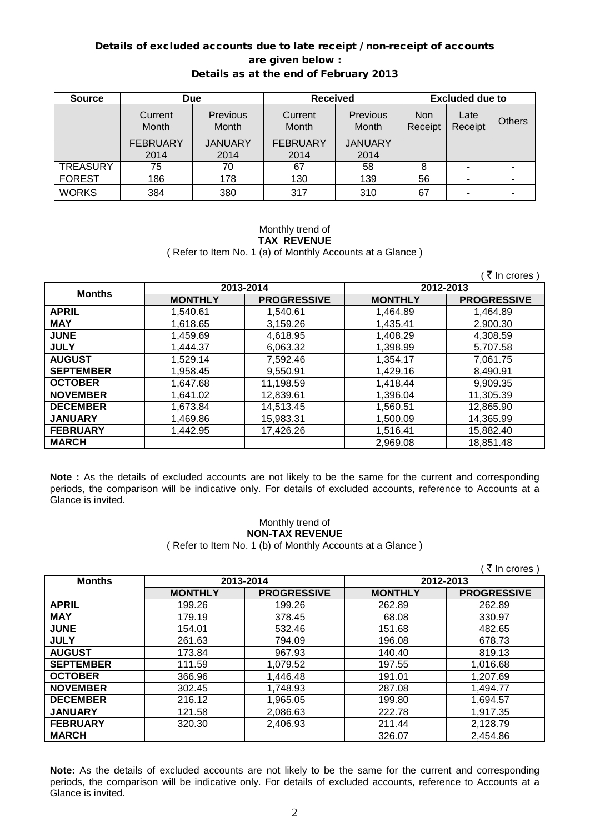# Details of excluded accounts due to late receipt / non-receipt of accounts are given below :

| Details as at the end of February 2013 |  |  |  |  |
|----------------------------------------|--|--|--|--|
|----------------------------------------|--|--|--|--|

| <b>Source</b>   | <b>Due</b>       |                                 | <b>Received</b>  |                          | <b>Excluded due to</b> |                 |        |
|-----------------|------------------|---------------------------------|------------------|--------------------------|------------------------|-----------------|--------|
|                 | Current<br>Month | <b>Previous</b><br><b>Month</b> | Current<br>Month | <b>Previous</b><br>Month | Non<br>Receipt         | Late<br>Receipt | Others |
|                 | <b>FEBRUARY</b>  | <b>JANUARY</b>                  | <b>FEBRUARY</b>  | <b>JANUARY</b>           |                        |                 |        |
|                 | 2014             | 2014                            | 2014             | 2014                     |                        |                 |        |
| <b>TREASURY</b> | 75               | 70                              | 67               | 58                       |                        |                 |        |
| <b>FOREST</b>   | 186              | 178                             | 130              | 139                      | 56                     |                 |        |
| <b>WORKS</b>    | 384              | 380                             | 317              | 310                      | 67                     | -               |        |

#### Monthly trend of **TAX REVENUE** ( Refer to Item No. 1 (a) of Monthly Accounts at a Glance )

 $($   $\bar{z}$  In crores )

| <b>Months</b>    | 2013-2014      |                    | 2012-2013      |                    |  |
|------------------|----------------|--------------------|----------------|--------------------|--|
|                  | <b>MONTHLY</b> | <b>PROGRESSIVE</b> | <b>MONTHLY</b> | <b>PROGRESSIVE</b> |  |
| <b>APRIL</b>     | 1,540.61       | 1,540.61           | 1,464.89       | 1.464.89           |  |
| <b>MAY</b>       | 1,618.65       | 3,159.26           | 1.435.41       | 2,900.30           |  |
| <b>JUNE</b>      | 1,459.69       | 4,618.95           | 1,408.29       | 4,308.59           |  |
| <b>JULY</b>      | 1,444.37       | 6,063.32           | 1,398.99       | 5,707.58           |  |
| <b>AUGUST</b>    | 1,529.14       | 7,592.46           | 1,354.17       | 7.061.75           |  |
| <b>SEPTEMBER</b> | 1,958.45       | 9,550.91           | 1,429.16       | 8.490.91           |  |
| <b>OCTOBER</b>   | 1.647.68       | 11,198.59          | 1,418.44       | 9,909.35           |  |
| <b>NOVEMBER</b>  | 1,641.02       | 12,839.61          | 1,396.04       | 11,305.39          |  |
| <b>DECEMBER</b>  | 1.673.84       | 14,513.45          | 1,560.51       | 12,865.90          |  |
| <b>JANUARY</b>   | 1,469.86       | 15,983.31          | 1,500.09       | 14,365.99          |  |
| <b>FEBRUARY</b>  | 1,442.95       | 17,426.26          | 1,516.41       | 15,882.40          |  |
| <b>MARCH</b>     |                |                    | 2.969.08       | 18.851.48          |  |

**Note :** As the details of excluded accounts are not likely to be the same for the current and corresponding periods, the comparison will be indicative only. For details of excluded accounts, reference to Accounts at a Glance is invited.

### Monthly trend of **NON-TAX REVENUE** ( Refer to Item No. 1 (b) of Monthly Accounts at a Glance )

|                  |                |                    |                | ( ₹ In crores )    |
|------------------|----------------|--------------------|----------------|--------------------|
| <b>Months</b>    |                | 2013-2014          | 2012-2013      |                    |
|                  | <b>MONTHLY</b> | <b>PROGRESSIVE</b> | <b>MONTHLY</b> | <b>PROGRESSIVE</b> |
| <b>APRIL</b>     | 199.26         | 199.26             | 262.89         | 262.89             |
| <b>MAY</b>       | 179.19         | 378.45             | 68.08          | 330.97             |
| <b>JUNE</b>      | 154.01         | 532.46             | 151.68         | 482.65             |
| <b>JULY</b>      | 261.63         | 794.09             | 196.08         | 678.73             |
| <b>AUGUST</b>    | 173.84         | 967.93             | 140.40         | 819.13             |
| <b>SEPTEMBER</b> | 111.59         | 1,079.52           | 197.55         | 1,016.68           |
| <b>OCTOBER</b>   | 366.96         | 1,446.48           | 191.01         | 1,207.69           |
| <b>NOVEMBER</b>  | 302.45         | 1,748.93           | 287.08         | 1,494.77           |
| <b>DECEMBER</b>  | 216.12         | 1,965.05           | 199.80         | 1,694.57           |
| <b>JANUARY</b>   | 121.58         | 2,086.63           | 222.78         | 1,917.35           |
| <b>FEBRUARY</b>  | 320.30         | 2,406.93           | 211.44         | 2,128.79           |
| <b>MARCH</b>     |                |                    | 326.07         | 2,454.86           |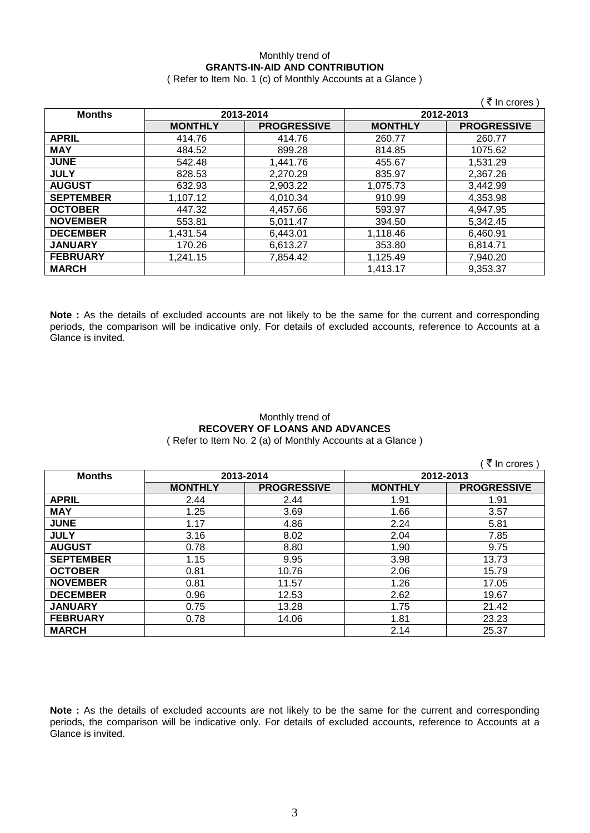### Monthly trend of **GRANTS-IN-AID AND CONTRIBUTION**

( Refer to Item No. 1 (c) of Monthly Accounts at a Glance )

|                  |                |                    |                | ₹ In crores )      |
|------------------|----------------|--------------------|----------------|--------------------|
| <b>Months</b>    | 2013-2014      |                    |                | 2012-2013          |
|                  | <b>MONTHLY</b> | <b>PROGRESSIVE</b> | <b>MONTHLY</b> | <b>PROGRESSIVE</b> |
| <b>APRIL</b>     | 414.76         | 414.76             | 260.77         | 260.77             |
| <b>MAY</b>       | 484.52         | 899.28             | 814.85         | 1075.62            |
| <b>JUNE</b>      | 542.48         | 1,441.76           | 455.67         | 1,531.29           |
| <b>JULY</b>      | 828.53         | 2,270.29           | 835.97         | 2,367.26           |
| <b>AUGUST</b>    | 632.93         | 2,903.22           | 1,075.73       | 3,442.99           |
| <b>SEPTEMBER</b> | 1,107.12       | 4,010.34           | 910.99         | 4,353.98           |
| <b>OCTOBER</b>   | 447.32         | 4,457.66           | 593.97         | 4,947.95           |
| <b>NOVEMBER</b>  | 553.81         | 5,011.47           | 394.50         | 5,342.45           |
| <b>DECEMBER</b>  | 1,431.54       | 6,443.01           | 1,118.46       | 6,460.91           |
| <b>JANUARY</b>   | 170.26         | 6,613.27           | 353.80         | 6,814.71           |
| <b>FEBRUARY</b>  | 1,241.15       | 7,854.42           | 1,125.49       | 7,940.20           |
| <b>MARCH</b>     |                |                    | 1,413.17       | 9,353.37           |

**Note :** As the details of excluded accounts are not likely to be the same for the current and corresponding periods, the comparison will be indicative only. For details of excluded accounts, reference to Accounts at a Glance is invited.

### Monthly trend of **RECOVERY OF LOANS AND ADVANCES** ( Refer to Item No. 2 (a) of Monthly Accounts at a Glance )

 $($   $\bar{\bar{\zeta}}$  In crores )

| <b>Months</b>    | 2013-2014      |                    | 2012-2013      |                    |
|------------------|----------------|--------------------|----------------|--------------------|
|                  | <b>MONTHLY</b> | <b>PROGRESSIVE</b> | <b>MONTHLY</b> | <b>PROGRESSIVE</b> |
| <b>APRIL</b>     | 2.44           | 2.44               | 1.91           | 1.91               |
| <b>MAY</b>       | 1.25           | 3.69               | 1.66           | 3.57               |
| <b>JUNE</b>      | 1.17           | 4.86               | 2.24           | 5.81               |
| <b>JULY</b>      | 3.16           | 8.02               | 2.04           | 7.85               |
| <b>AUGUST</b>    | 0.78           | 8.80               | 1.90           | 9.75               |
| <b>SEPTEMBER</b> | 1.15           | 9.95               | 3.98           | 13.73              |
| <b>OCTOBER</b>   | 0.81           | 10.76              | 2.06           | 15.79              |
| <b>NOVEMBER</b>  | 0.81           | 11.57              | 1.26           | 17.05              |
| <b>DECEMBER</b>  | 0.96           | 12.53              | 2.62           | 19.67              |
| <b>JANUARY</b>   | 0.75           | 13.28              | 1.75           | 21.42              |
| <b>FEBRUARY</b>  | 0.78           | 14.06              | 1.81           | 23.23              |
| <b>MARCH</b>     |                |                    | 2.14           | 25.37              |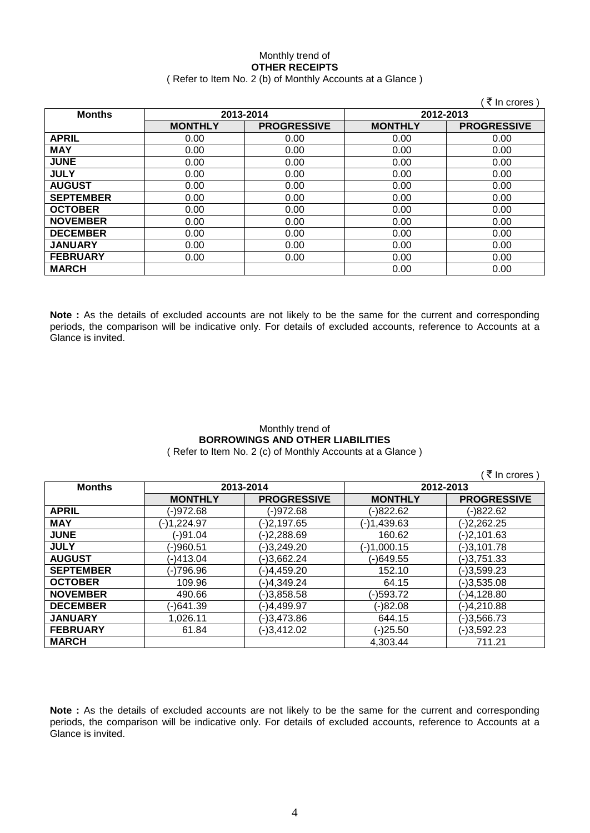# Monthly trend of **OTHER RECEIPTS**

### ( Refer to Item No. 2 (b) of Monthly Accounts at a Glance )

|                  |                |                    |                | ∶₹ In crores )     |
|------------------|----------------|--------------------|----------------|--------------------|
| <b>Months</b>    | 2013-2014      |                    | 2012-2013      |                    |
|                  | <b>MONTHLY</b> | <b>PROGRESSIVE</b> | <b>MONTHLY</b> | <b>PROGRESSIVE</b> |
| <b>APRIL</b>     | 0.00           | 0.00               | 0.00           | 0.00               |
| <b>MAY</b>       | 0.00           | 0.00               | 0.00           | 0.00               |
| <b>JUNE</b>      | 0.00           | 0.00               | 0.00           | 0.00               |
| <b>JULY</b>      | 0.00           | 0.00               | 0.00           | 0.00               |
| <b>AUGUST</b>    | 0.00           | 0.00               | 0.00           | 0.00               |
| <b>SEPTEMBER</b> | 0.00           | 0.00               | 0.00           | 0.00               |
| <b>OCTOBER</b>   | 0.00           | 0.00               | 0.00           | 0.00               |
| <b>NOVEMBER</b>  | 0.00           | 0.00               | 0.00           | 0.00               |
| <b>DECEMBER</b>  | 0.00           | 0.00               | 0.00           | 0.00               |
| <b>JANUARY</b>   | 0.00           | 0.00               | 0.00           | 0.00               |
| <b>FEBRUARY</b>  | 0.00           | 0.00               | 0.00           | 0.00               |
| <b>MARCH</b>     |                |                    | 0.00           | 0.00               |

**Note :** As the details of excluded accounts are not likely to be the same for the current and corresponding periods, the comparison will be indicative only. For details of excluded accounts, reference to Accounts at a Glance is invited.

# Monthly trend of **BORROWINGS AND OTHER LIABILITIES**

( Refer to Item No. 2 (c) of Monthly Accounts at a Glance )

 $\sqrt{7}$  In crores )

| <b>Months</b>    | 2013-2014      |                    | 2012-2013      |                    |  |
|------------------|----------------|--------------------|----------------|--------------------|--|
|                  | <b>MONTHLY</b> | <b>PROGRESSIVE</b> | <b>MONTHLY</b> | <b>PROGRESSIVE</b> |  |
| <b>APRIL</b>     | (-)972.68      | (-)972.68          | (-)822.62      | (-)822.62          |  |
| <b>MAY</b>       | (-)1,224.97    | (-)2,197.65        | (-)1,439.63    | $(-)2,262.25$      |  |
| <b>JUNE</b>      | (-)91.04       | (-)2,288.69        | 160.62         | $(-)2,101.63$      |  |
| <b>JULY</b>      | (-)960.51      | (-)3,249.20        | $(-)1,000.15$  | $(-)3,101.78$      |  |
| <b>AUGUST</b>    | (-)413.04      | (-)3,662.24        | (-)649.55      | $(-)3,751.33$      |  |
| <b>SEPTEMBER</b> | (-)796.96      | (-)4,459.20        | 152.10         | $(-)3,599.23$      |  |
| <b>OCTOBER</b>   | 109.96         | (-)4,349.24        | 64.15          | $(-)3,535.08$      |  |
| <b>NOVEMBER</b>  | 490.66         | $(-)3,858.58$      | (-)593.72      | (-)4,128.80        |  |
| <b>DECEMBER</b>  | (-)641.39      | (-)4,499.97        | (-)82.08       | (-)4,210.88        |  |
| <b>JANUARY</b>   | 1,026.11       | (-)3,473.86        | 644.15         | $(-)3,566.73$      |  |
| <b>FEBRUARY</b>  | 61.84          | (-)3,412.02        | $(-)25.50$     | $(-)3,592.23$      |  |
| <b>MARCH</b>     |                |                    | 4.303.44       | 711.21             |  |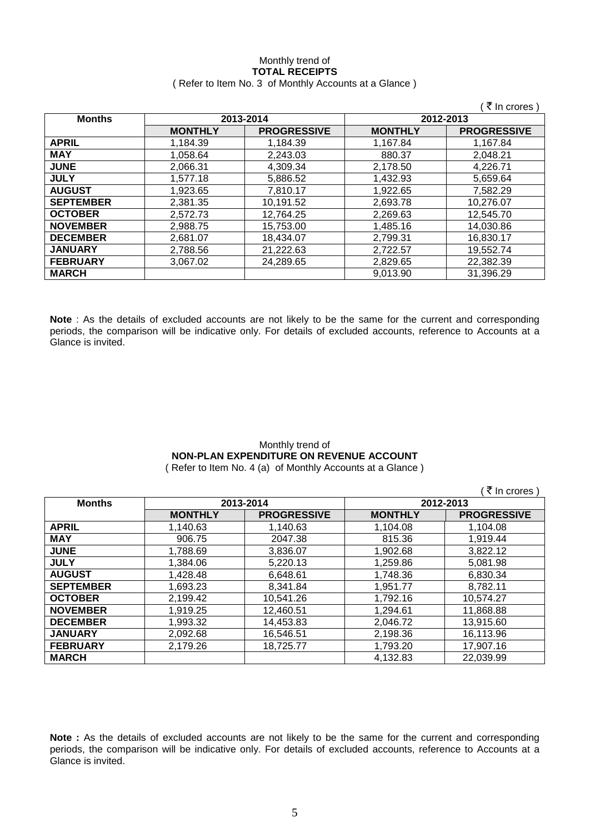#### Monthly trend of **TOTAL RECEIPTS** ( Refer to Item No. 3 of Monthly Accounts at a Glance )

|                  |                |                    |                | ₹ In crores)       |
|------------------|----------------|--------------------|----------------|--------------------|
| <b>Months</b>    |                | 2013-2014          | 2012-2013      |                    |
|                  | <b>MONTHLY</b> | <b>PROGRESSIVE</b> | <b>MONTHLY</b> | <b>PROGRESSIVE</b> |
| <b>APRIL</b>     | 1,184.39       | 1,184.39           | 1,167.84       | 1,167.84           |
| <b>MAY</b>       | 1,058.64       | 2,243.03           | 880.37         | 2,048.21           |
| <b>JUNE</b>      | 2.066.31       | 4,309.34           | 2.178.50       | 4.226.71           |
| <b>JULY</b>      | 1.577.18       | 5,886.52           | 1,432.93       | 5.659.64           |
| <b>AUGUST</b>    | 1.923.65       | 7.810.17           | 1.922.65       | 7.582.29           |
| <b>SEPTEMBER</b> | 2,381.35       | 10,191.52          | 2,693.78       | 10,276.07          |
| <b>OCTOBER</b>   | 2.572.73       | 12,764.25          | 2,269.63       | 12,545.70          |
| <b>NOVEMBER</b>  | 2,988.75       | 15,753.00          | 1,485.16       | 14,030.86          |
| <b>DECEMBER</b>  | 2.681.07       | 18,434.07          | 2,799.31       | 16,830.17          |
| <b>JANUARY</b>   | 2.788.56       | 21,222.63          | 2,722.57       | 19.552.74          |
| <b>FEBRUARY</b>  | 3.067.02       | 24,289.65          | 2,829.65       | 22,382.39          |
| <b>MARCH</b>     |                |                    | 9,013.90       | 31.396.29          |

**Note** : As the details of excluded accounts are not likely to be the same for the current and corresponding periods, the comparison will be indicative only. For details of excluded accounts, reference to Accounts at a Glance is invited.

## Monthly trend of **NON-PLAN EXPENDITURE ON REVENUE ACCOUNT**

( Refer to Item No. 4 (a) of Monthly Accounts at a Glance )

|                  |                |                    |                | ₹ In crores)       |
|------------------|----------------|--------------------|----------------|--------------------|
| <b>Months</b>    |                | 2013-2014          |                | 2012-2013          |
|                  | <b>MONTHLY</b> | <b>PROGRESSIVE</b> | <b>MONTHLY</b> | <b>PROGRESSIVE</b> |
| <b>APRIL</b>     | 1,140.63       | 1,140.63           | 1,104.08       | 1,104.08           |
| <b>MAY</b>       | 906.75         | 2047.38            | 815.36         | 1,919.44           |
| <b>JUNE</b>      | 1,788.69       | 3,836.07           | 1,902.68       | 3,822.12           |
| <b>JULY</b>      | 1,384.06       | 5,220.13           | 1,259.86       | 5,081.98           |
| <b>AUGUST</b>    | 1,428.48       | 6,648.61           | 1,748.36       | 6,830.34           |
| <b>SEPTEMBER</b> | 1,693.23       | 8,341.84           | 1,951.77       | 8,782.11           |
| <b>OCTOBER</b>   | 2,199.42       | 10,541.26          | 1,792.16       | 10,574.27          |
| <b>NOVEMBER</b>  | 1,919.25       | 12,460.51          | 1,294.61       | 11,868.88          |
| <b>DECEMBER</b>  | 1,993.32       | 14,453.83          | 2,046.72       | 13,915.60          |
| <b>JANUARY</b>   | 2,092.68       | 16,546.51          | 2,198.36       | 16,113.96          |
| <b>FEBRUARY</b>  | 2,179.26       | 18,725.77          | 1,793.20       | 17,907.16          |
| <b>MARCH</b>     |                |                    | 4,132.83       | 22,039.99          |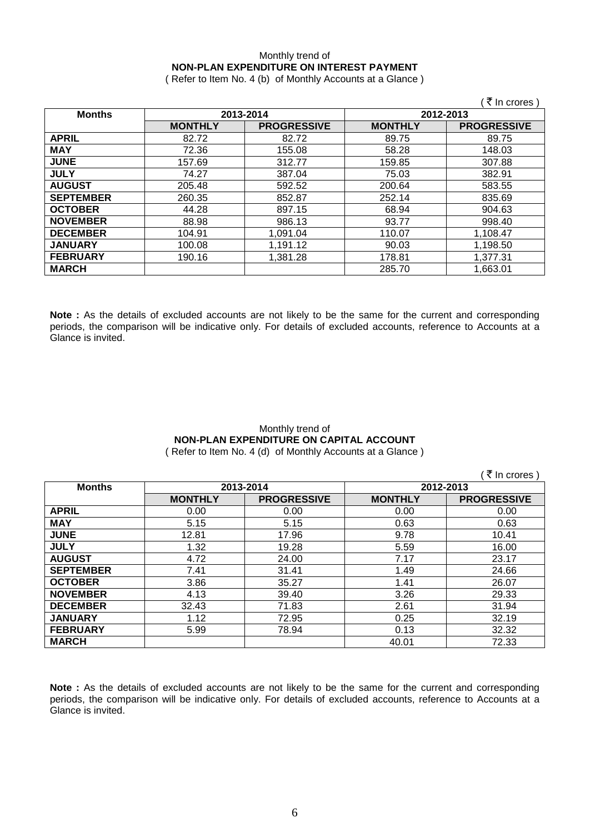## Monthly trend of **NON-PLAN EXPENDITURE ON INTEREST PAYMENT**

( Refer to Item No. 4 (b) of Monthly Accounts at a Glance )

|                  |                |                    |                | ₹ In crores        |
|------------------|----------------|--------------------|----------------|--------------------|
| <b>Months</b>    | 2013-2014      |                    | 2012-2013      |                    |
|                  | <b>MONTHLY</b> | <b>PROGRESSIVE</b> | <b>MONTHLY</b> | <b>PROGRESSIVE</b> |
| <b>APRIL</b>     | 82.72          | 82.72              | 89.75          | 89.75              |
| <b>MAY</b>       | 72.36          | 155.08             | 58.28          | 148.03             |
| <b>JUNE</b>      | 157.69         | 312.77             | 159.85         | 307.88             |
| <b>JULY</b>      | 74.27          | 387.04             | 75.03          | 382.91             |
| <b>AUGUST</b>    | 205.48         | 592.52             | 200.64         | 583.55             |
| <b>SEPTEMBER</b> | 260.35         | 852.87             | 252.14         | 835.69             |
| <b>OCTOBER</b>   | 44.28          | 897.15             | 68.94          | 904.63             |
| <b>NOVEMBER</b>  | 88.98          | 986.13             | 93.77          | 998.40             |
| <b>DECEMBER</b>  | 104.91         | 1,091.04           | 110.07         | 1,108.47           |
| <b>JANUARY</b>   | 100.08         | 1,191.12           | 90.03          | 1,198.50           |
| <b>FEBRUARY</b>  | 190.16         | 1,381.28           | 178.81         | 1,377.31           |
| <b>MARCH</b>     |                |                    | 285.70         | 1,663.01           |

**Note :** As the details of excluded accounts are not likely to be the same for the current and corresponding periods, the comparison will be indicative only. For details of excluded accounts, reference to Accounts at a Glance is invited.

### Monthly trend of **NON-PLAN EXPENDITURE ON CAPITAL ACCOUNT** ( Refer to Item No. 4 (d) of Monthly Accounts at a Glance )

 $( \bar{\tau}$  In crores )

|                  |                |                    |                | $\frac{1}{2}$      |
|------------------|----------------|--------------------|----------------|--------------------|
| <b>Months</b>    | 2013-2014      |                    | 2012-2013      |                    |
|                  | <b>MONTHLY</b> | <b>PROGRESSIVE</b> | <b>MONTHLY</b> | <b>PROGRESSIVE</b> |
| <b>APRIL</b>     | 0.00           | 0.00               | 0.00           | 0.00               |
| <b>MAY</b>       | 5.15           | 5.15               | 0.63           | 0.63               |
| <b>JUNE</b>      | 12.81          | 17.96              | 9.78           | 10.41              |
| <b>JULY</b>      | 1.32           | 19.28              | 5.59           | 16.00              |
| <b>AUGUST</b>    | 4.72           | 24.00              | 7.17           | 23.17              |
| <b>SEPTEMBER</b> | 7.41           | 31.41              | 1.49           | 24.66              |
| <b>OCTOBER</b>   | 3.86           | 35.27              | 1.41           | 26.07              |
| <b>NOVEMBER</b>  | 4.13           | 39.40              | 3.26           | 29.33              |
| <b>DECEMBER</b>  | 32.43          | 71.83              | 2.61           | 31.94              |
| <b>JANUARY</b>   | 1.12           | 72.95              | 0.25           | 32.19              |
| <b>FEBRUARY</b>  | 5.99           | 78.94              | 0.13           | 32.32              |
| <b>MARCH</b>     |                |                    | 40.01          | 72.33              |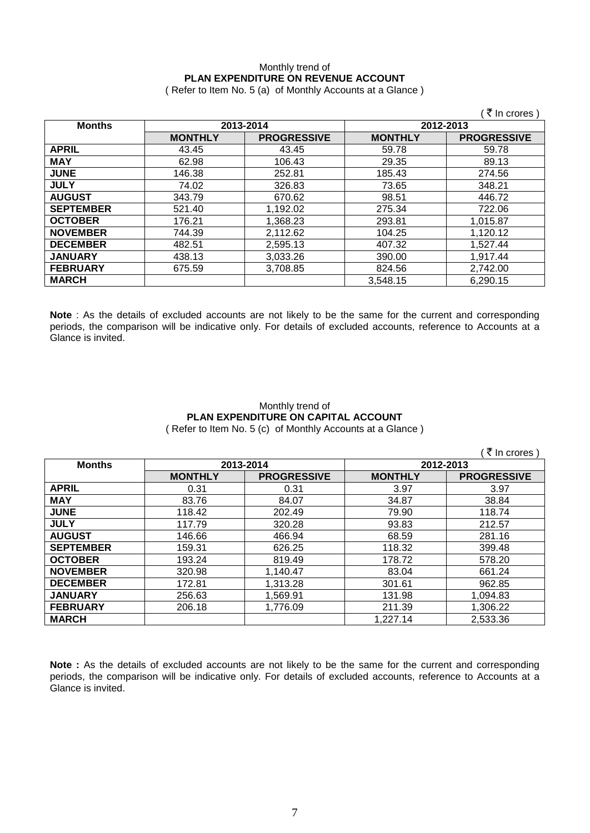### Monthly trend of **PLAN EXPENDITURE ON REVENUE ACCOUNT** ( Refer to Item No. 5 (a) of Monthly Accounts at a Glance )

|                  |                |                    |                | ₹ In crores        |
|------------------|----------------|--------------------|----------------|--------------------|
| <b>Months</b>    | 2013-2014      |                    | 2012-2013      |                    |
|                  | <b>MONTHLY</b> | <b>PROGRESSIVE</b> | <b>MONTHLY</b> | <b>PROGRESSIVE</b> |
| <b>APRIL</b>     | 43.45          | 43.45              | 59.78          | 59.78              |
| <b>MAY</b>       | 62.98          | 106.43             | 29.35          | 89.13              |
| <b>JUNE</b>      | 146.38         | 252.81             | 185.43         | 274.56             |
| <b>JULY</b>      | 74.02          | 326.83             | 73.65          | 348.21             |
| <b>AUGUST</b>    | 343.79         | 670.62             | 98.51          | 446.72             |
| <b>SEPTEMBER</b> | 521.40         | 1,192.02           | 275.34         | 722.06             |
| <b>OCTOBER</b>   | 176.21         | 1,368.23           | 293.81         | 1,015.87           |
| <b>NOVEMBER</b>  | 744.39         | 2,112.62           | 104.25         | 1,120.12           |
| <b>DECEMBER</b>  | 482.51         | 2,595.13           | 407.32         | 1,527.44           |
| <b>JANUARY</b>   | 438.13         | 3,033.26           | 390.00         | 1,917.44           |
| <b>FEBRUARY</b>  | 675.59         | 3,708.85           | 824.56         | 2,742.00           |
| <b>MARCH</b>     |                |                    | 3,548.15       | 6,290.15           |

**Note** : As the details of excluded accounts are not likely to be the same for the current and corresponding periods, the comparison will be indicative only. For details of excluded accounts, reference to Accounts at a Glance is invited.

### Monthly trend of **PLAN EXPENDITURE ON CAPITAL ACCOUNT** ( Refer to Item No. 5 (c) of Monthly Accounts at a Glance )

|                  |                |                    |                | ∶₹ In crores )     |
|------------------|----------------|--------------------|----------------|--------------------|
| <b>Months</b>    | 2013-2014      |                    | 2012-2013      |                    |
|                  | <b>MONTHLY</b> | <b>PROGRESSIVE</b> | <b>MONTHLY</b> | <b>PROGRESSIVE</b> |
| <b>APRIL</b>     | 0.31           | 0.31               | 3.97           | 3.97               |
| <b>MAY</b>       | 83.76          | 84.07              | 34.87          | 38.84              |
| <b>JUNE</b>      | 118.42         | 202.49             | 79.90          | 118.74             |
| <b>JULY</b>      | 117.79         | 320.28             | 93.83          | 212.57             |
| <b>AUGUST</b>    | 146.66         | 466.94             | 68.59          | 281.16             |
| <b>SEPTEMBER</b> | 159.31         | 626.25             | 118.32         | 399.48             |
| <b>OCTOBER</b>   | 193.24         | 819.49             | 178.72         | 578.20             |
| <b>NOVEMBER</b>  | 320.98         | 1,140.47           | 83.04          | 661.24             |
| <b>DECEMBER</b>  | 172.81         | 1,313.28           | 301.61         | 962.85             |
| <b>JANUARY</b>   | 256.63         | 1,569.91           | 131.98         | 1,094.83           |
| <b>FEBRUARY</b>  | 206.18         | 1,776.09           | 211.39         | 1,306.22           |
| <b>MARCH</b>     |                |                    | 1,227.14       | 2,533.36           |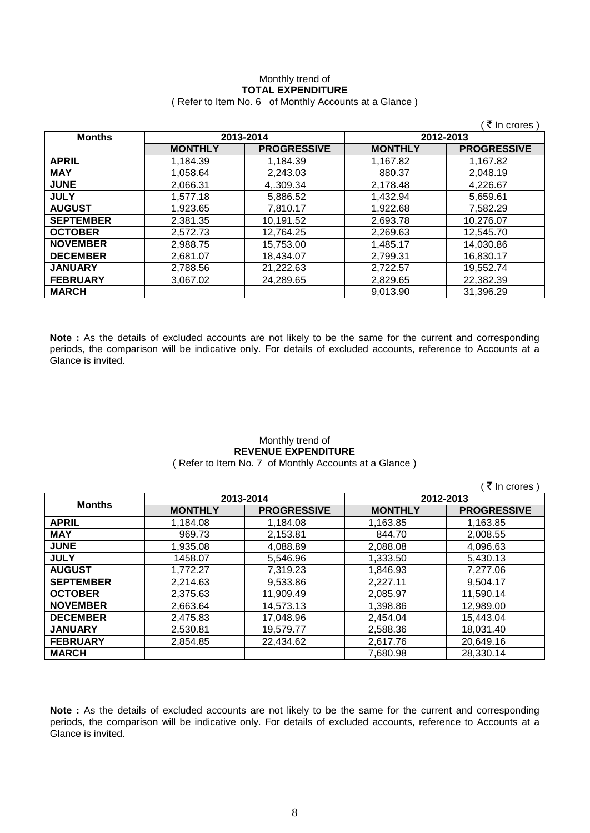# Monthly trend of **TOTAL EXPENDITURE**

|                  |                |                    |                | (₹ In crores)      |
|------------------|----------------|--------------------|----------------|--------------------|
| <b>Months</b>    | 2013-2014      |                    | 2012-2013      |                    |
|                  | <b>MONTHLY</b> | <b>PROGRESSIVE</b> | <b>MONTHLY</b> | <b>PROGRESSIVE</b> |
| <b>APRIL</b>     | 1.184.39       | 1.184.39           | 1.167.82       | 1.167.82           |
| <b>MAY</b>       | 1,058.64       | 2,243.03           | 880.37         | 2,048.19           |
| <b>JUNE</b>      | 2.066.31       | 4,309.34           | 2,178.48       | 4,226.67           |
| <b>JULY</b>      | 1.577.18       | 5,886.52           | 1,432.94       | 5,659.61           |
| <b>AUGUST</b>    | 1,923.65       | 7,810.17           | 1,922.68       | 7,582.29           |
| <b>SEPTEMBER</b> | 2,381.35       | 10,191.52          | 2,693.78       | 10,276.07          |
| <b>OCTOBER</b>   | 2,572.73       | 12,764.25          | 2,269.63       | 12,545.70          |
| <b>NOVEMBER</b>  | 2.988.75       | 15.753.00          | 1,485.17       | 14.030.86          |
| <b>DECEMBER</b>  | 2.681.07       | 18.434.07          | 2,799.31       | 16,830.17          |
| <b>JANUARY</b>   | 2,788.56       | 21,222.63          | 2,722.57       | 19.552.74          |
| <b>FEBRUARY</b>  | 3,067.02       | 24,289.65          | 2,829.65       | 22,382.39          |
| <b>MARCH</b>     |                |                    | 9,013.90       | 31.396.29          |
|                  |                |                    |                |                    |

( Refer to Item No. 6 of Monthly Accounts at a Glance )

**Note :** As the details of excluded accounts are not likely to be the same for the current and corresponding periods, the comparison will be indicative only. For details of excluded accounts, reference to Accounts at a Glance is invited.

#### Monthly trend of **REVENUE EXPENDITURE** ( Refer to Item No. 7 of Monthly Accounts at a Glance )

( $\bar{\tau}$  In crores) **Months 2013-2014 2012-2013 MONTHLY PROGRESSIVE MONTHLY PROGRESSIVE APRIL** 1,184.08 1,163.85 1,163.85 **MAY** 969.73 2,153.81 844.70 2,008.55 **JUNE** 1,935.08 4,088.89 2,088.08 4,096.63 **JULY** 1458.07 5,546.96 1,333.50 5,430.13 **AUGUST** 1,772.27 7,319.23 1,846.93 7,277.06 **SEPTEMBER** 2,214.63 9,533.86 2,227.11 9,504.17 **OCTOBER** 2,375.63 11,909.49 2,085.97 11,590.14 **NOVEMBER** | 2,663.64 | 14,573.13 | 1,398.86 | 12,989.00 **DECEMBER** 2,475.83 17,048.96 2,454.04 15,443.04 **JANUARY** 2,530.81 19,579.77 2,588.36 18,031.40 **FEBRUARY** 2,854.85 22,434.62 2,617.76 20,649.16 **MARCH** 7,680.98 28,330.14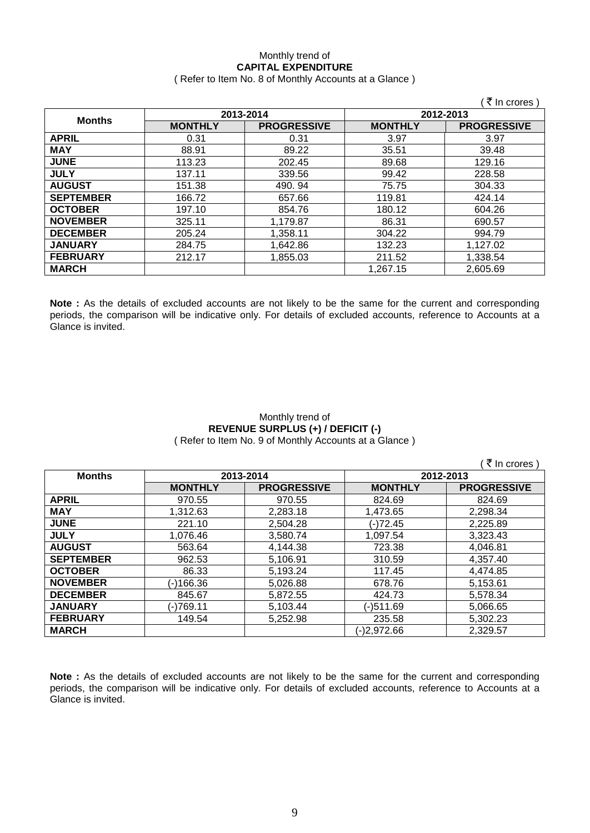### Monthly trend of **CAPITAL EXPENDITURE**

### ( Refer to Item No. 8 of Monthly Accounts at a Glance )

|                  |                |                    |                | ₹ In crores )      |
|------------------|----------------|--------------------|----------------|--------------------|
| <b>Months</b>    | 2013-2014      |                    | 2012-2013      |                    |
|                  | <b>MONTHLY</b> | <b>PROGRESSIVE</b> | <b>MONTHLY</b> | <b>PROGRESSIVE</b> |
| <b>APRIL</b>     | 0.31           | 0.31               | 3.97           | 3.97               |
| <b>MAY</b>       | 88.91          | 89.22              | 35.51          | 39.48              |
| <b>JUNE</b>      | 113.23         | 202.45             | 89.68          | 129.16             |
| <b>JULY</b>      | 137.11         | 339.56             | 99.42          | 228.58             |
| <b>AUGUST</b>    | 151.38         | 490.94             | 75.75          | 304.33             |
| <b>SEPTEMBER</b> | 166.72         | 657.66             | 119.81         | 424.14             |
| <b>OCTOBER</b>   | 197.10         | 854.76             | 180.12         | 604.26             |
| <b>NOVEMBER</b>  | 325.11         | 1,179.87           | 86.31          | 690.57             |
| <b>DECEMBER</b>  | 205.24         | 1,358.11           | 304.22         | 994.79             |
| <b>JANUARY</b>   | 284.75         | 1,642.86           | 132.23         | 1,127.02           |
| <b>FEBRUARY</b>  | 212.17         | 1,855.03           | 211.52         | 1,338.54           |
| <b>MARCH</b>     |                |                    | 1,267.15       | 2,605.69           |

**Note :** As the details of excluded accounts are not likely to be the same for the current and corresponding periods, the comparison will be indicative only. For details of excluded accounts, reference to Accounts at a Glance is invited.

### Monthly trend of **REVENUE SURPLUS (+) / DEFICIT (-)** ( Refer to Item No. 9 of Monthly Accounts at a Glance )

 $($   $\bar{\bar{\zeta}}$  In crores )

| <b>Months</b>    | 2013-2014      |                    | 2012-2013      |                    |
|------------------|----------------|--------------------|----------------|--------------------|
|                  | <b>MONTHLY</b> | <b>PROGRESSIVE</b> | <b>MONTHLY</b> | <b>PROGRESSIVE</b> |
| <b>APRIL</b>     | 970.55         | 970.55             | 824.69         | 824.69             |
| <b>MAY</b>       | 1,312.63       | 2,283.18           | 1,473.65       | 2,298.34           |
| <b>JUNE</b>      | 221.10         | 2,504.28           | (-)72.45       | 2,225.89           |
| <b>JULY</b>      | 1,076.46       | 3,580.74           | 1,097.54       | 3,323.43           |
| <b>AUGUST</b>    | 563.64         | 4,144.38           | 723.38         | 4,046.81           |
| <b>SEPTEMBER</b> | 962.53         | 5,106.91           | 310.59         | 4,357.40           |
| <b>OCTOBER</b>   | 86.33          | 5,193.24           | 117.45         | 4,474.85           |
| <b>NOVEMBER</b>  | (-)166.36      | 5,026.88           | 678.76         | 5,153.61           |
| <b>DECEMBER</b>  | 845.67         | 5,872.55           | 424.73         | 5,578.34           |
| <b>JANUARY</b>   | (-)769.11      | 5,103.44           | (-)511.69      | 5,066.65           |
| <b>FEBRUARY</b>  | 149.54         | 5,252.98           | 235.58         | 5,302.23           |
| <b>MARCH</b>     |                |                    | (-)2.972.66    | 2,329.57           |